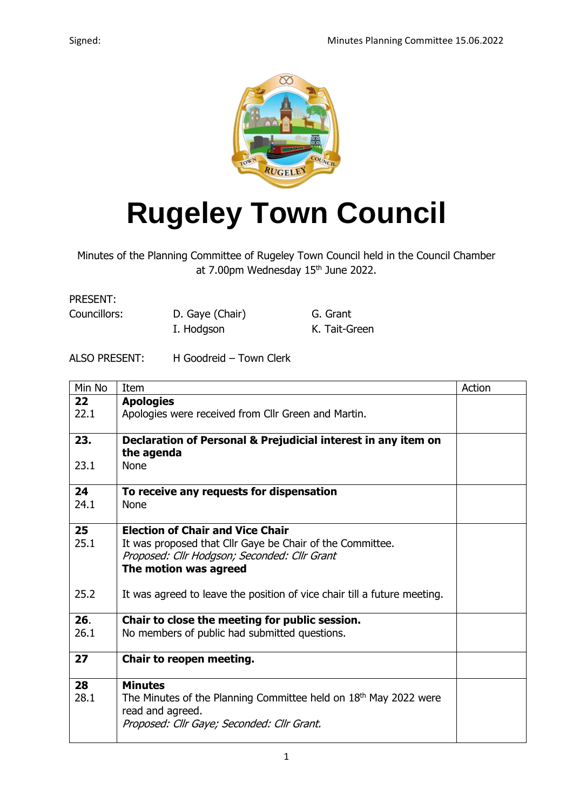

## **Rugeley Town Council**

Minutes of the Planning Committee of Rugeley Town Council held in the Council Chamber at 7.00pm Wednesday 15<sup>th</sup> June 2022.

PRESENT:

Councillors: D. Gaye (Chair) G. Grant

I. Hodgson K. Tait-Green

## ALSO PRESENT: H Goodreid – Town Clerk

| Min No            | Item                                                                     | Action |
|-------------------|--------------------------------------------------------------------------|--------|
| $22 \overline{)}$ | <b>Apologies</b>                                                         |        |
| 22.1              | Apologies were received from Cllr Green and Martin.                      |        |
|                   |                                                                          |        |
| 23.               | Declaration of Personal & Prejudicial interest in any item on            |        |
| 23.1              | the agenda<br><b>None</b>                                                |        |
|                   |                                                                          |        |
| 24                | To receive any requests for dispensation                                 |        |
| 24.1              | <b>None</b>                                                              |        |
|                   |                                                                          |        |
| 25                | <b>Election of Chair and Vice Chair</b>                                  |        |
| 25.1              | It was proposed that Cllr Gaye be Chair of the Committee.                |        |
|                   | Proposed: Cllr Hodgson; Seconded: Cllr Grant                             |        |
|                   | The motion was agreed                                                    |        |
| 25.2              | It was agreed to leave the position of vice chair till a future meeting. |        |
|                   |                                                                          |        |
| 26.               | Chair to close the meeting for public session.                           |        |
| 26.1              | No members of public had submitted questions.                            |        |
|                   |                                                                          |        |
| 27                | Chair to reopen meeting.                                                 |        |
| 28                | <b>Minutes</b>                                                           |        |
| 28.1              | The Minutes of the Planning Committee held on $18th$ May 2022 were       |        |
|                   | read and agreed.                                                         |        |
|                   | Proposed: Cllr Gaye; Seconded: Cllr Grant.                               |        |
|                   |                                                                          |        |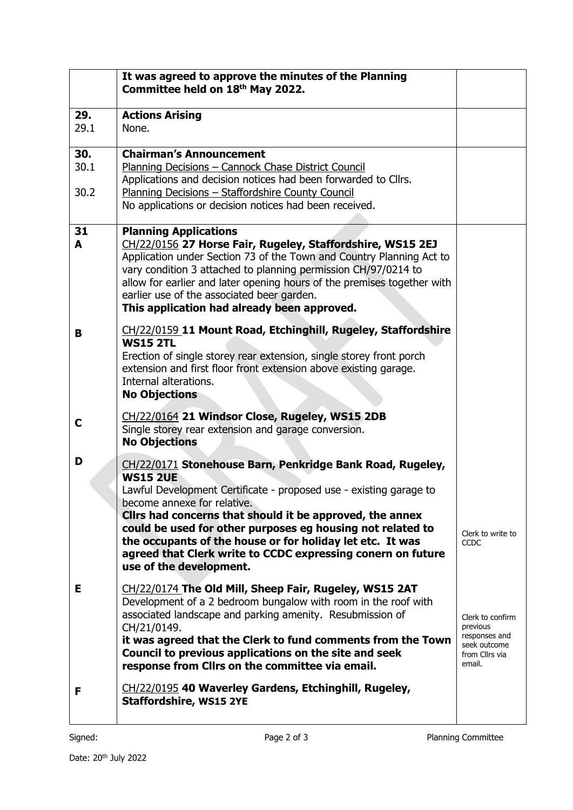|             | It was agreed to approve the minutes of the Planning<br>Committee held on 18th May 2022.                                                                                                                                                                                                                                                                                                                     |                                                                                           |
|-------------|--------------------------------------------------------------------------------------------------------------------------------------------------------------------------------------------------------------------------------------------------------------------------------------------------------------------------------------------------------------------------------------------------------------|-------------------------------------------------------------------------------------------|
| 29.<br>29.1 | <b>Actions Arising</b><br>None.                                                                                                                                                                                                                                                                                                                                                                              |                                                                                           |
| 30.<br>30.1 | <b>Chairman's Announcement</b><br>Planning Decisions - Cannock Chase District Council<br>Applications and decision notices had been forwarded to Cllrs.                                                                                                                                                                                                                                                      |                                                                                           |
| 30.2        | Planning Decisions - Staffordshire County Council<br>No applications or decision notices had been received.                                                                                                                                                                                                                                                                                                  |                                                                                           |
| 31<br>A     | <b>Planning Applications</b><br>CH/22/0156 27 Horse Fair, Rugeley, Staffordshire, WS15 2EJ<br>Application under Section 73 of the Town and Country Planning Act to<br>vary condition 3 attached to planning permission CH/97/0214 to<br>allow for earlier and later opening hours of the premises together with<br>earlier use of the associated beer garden.<br>This application had already been approved. |                                                                                           |
| B           | CH/22/0159 11 Mount Road, Etchinghill, Rugeley, Staffordshire<br><b>WS15 2TL</b>                                                                                                                                                                                                                                                                                                                             |                                                                                           |
|             | Erection of single storey rear extension, single storey front porch<br>extension and first floor front extension above existing garage.<br>Internal alterations.<br><b>No Objections</b>                                                                                                                                                                                                                     |                                                                                           |
| C           | CH/22/0164 21 Windsor Close, Rugeley, WS15 2DB<br>Single storey rear extension and garage conversion.<br><b>No Objections</b>                                                                                                                                                                                                                                                                                |                                                                                           |
| D           | CH/22/0171 Stonehouse Barn, Penkridge Bank Road, Rugeley,<br><b>WS15 2UE</b><br>Lawful Development Certificate - proposed use - existing garage to<br>become annexe for relative.<br>Clirs had concerns that should it be approved, the annex                                                                                                                                                                |                                                                                           |
|             | could be used for other purposes eg housing not related to<br>the occupants of the house or for holiday let etc. It was<br>agreed that Clerk write to CCDC expressing conern on future<br>use of the development.                                                                                                                                                                                            | Clerk to write to<br>CCDC                                                                 |
| Е           | CH/22/0174 The Old Mill, Sheep Fair, Rugeley, WS15 2AT<br>Development of a 2 bedroom bungalow with room in the roof with<br>associated landscape and parking amenity. Resubmission of<br>CH/21/0149.<br>it was agreed that the Clerk to fund comments from the Town<br>Council to previous applications on the site and seek<br>response from Cllrs on the committee via email.                              | Clerk to confirm<br>previous<br>responses and<br>seek outcome<br>from Cllrs via<br>email. |
| F           | CH/22/0195 40 Waverley Gardens, Etchinghill, Rugeley,<br><b>Staffordshire, WS15 2YE</b>                                                                                                                                                                                                                                                                                                                      |                                                                                           |